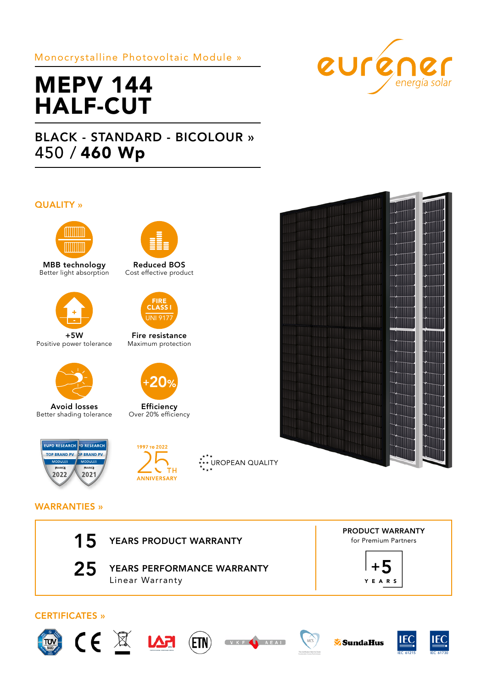# Monocrystalline Photovoltaic Module »



# MEPV 144 HALF-CUT

# BLACK - STANDARD - BICOLOUR » 450 / 460 Wp

## QUALITY »



MBB technology Better light absorption



+5W Positive power tolerance



Avoid losses Better shading tolerance





Reduced BOS Cost effective product



Fire resistance Maximum protection



**Efficiency** Over 20% efficiency



**XXXX**<br>\*\*\* UROPEAN QUALITY



# WARRANTIES »

| 15                    | YEARS PRODUCT WARRANTY                        | <b>PRODUCT WARRANTY</b><br>for Premium Partners |
|-----------------------|-----------------------------------------------|-------------------------------------------------|
| 25                    | YEARS PERFORMANCE WARRANTY<br>Linear Warranty | <b>YEARS</b>                                    |
| <b>CERTIFICATES »</b> |                                               |                                                 |









 $MCS$